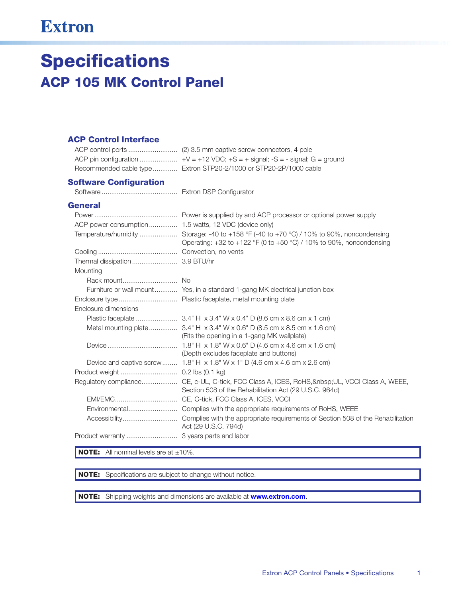## **Extron**

# **Specifications ACP 105 MK Control Panel**

#### **ACP Control Interface**

| Recommended cable type  Extron STP20-2/1000 or STP20-2P/1000 cable |
|--------------------------------------------------------------------|

#### **Software Configuration**

#### **General**

|                      | Temperature/humidity  Storage: -40 to +158 °F (-40 to +70 °C) / 10% to 90%, noncondensing<br>Operating: $+32$ to $+122$ °F (0 to $+50$ °C) / 10% to 90%, noncondensing |
|----------------------|------------------------------------------------------------------------------------------------------------------------------------------------------------------------|
|                      |                                                                                                                                                                        |
|                      |                                                                                                                                                                        |
| Mounting             |                                                                                                                                                                        |
|                      |                                                                                                                                                                        |
|                      | Furniture or wall mount  Yes, in a standard 1-gang MK electrical junction box                                                                                          |
|                      |                                                                                                                                                                        |
| Enclosure dimensions |                                                                                                                                                                        |
|                      |                                                                                                                                                                        |
|                      | (Fits the opening in a 1-gang MK wallplate)                                                                                                                            |
|                      | (Depth excludes faceplate and buttons)                                                                                                                                 |
|                      | Device and captive screw 1.8" H $\times$ 1.8" W $\times$ 1" D (4.6 cm $\times$ 4.6 cm $\times$ 2.6 cm)                                                                 |
|                      |                                                                                                                                                                        |
|                      | Regulatory compliance CE, c-UL, C-tick, FCC Class A, ICES, RoHS,  UL, VCCI Class A, WEEE,<br>Section 508 of the Rehabilitation Act (29 U.S.C. 964d)                    |
|                      | EMI/EMC CE, C-tick, FCC Class A, ICES, VCCI                                                                                                                            |
|                      | Environmental Complies with the appropriate requirements of RoHS, WEEE                                                                                                 |
|                      | Act (29 U.S.C. 794d)                                                                                                                                                   |
|                      |                                                                                                                                                                        |

**NOTE:** All nominal levels are at  $\pm 10\%$ .

NOTE: Specifications are subject to change without notice.

NOTE: Shipping weights and dimensions are available at www.extron.com.